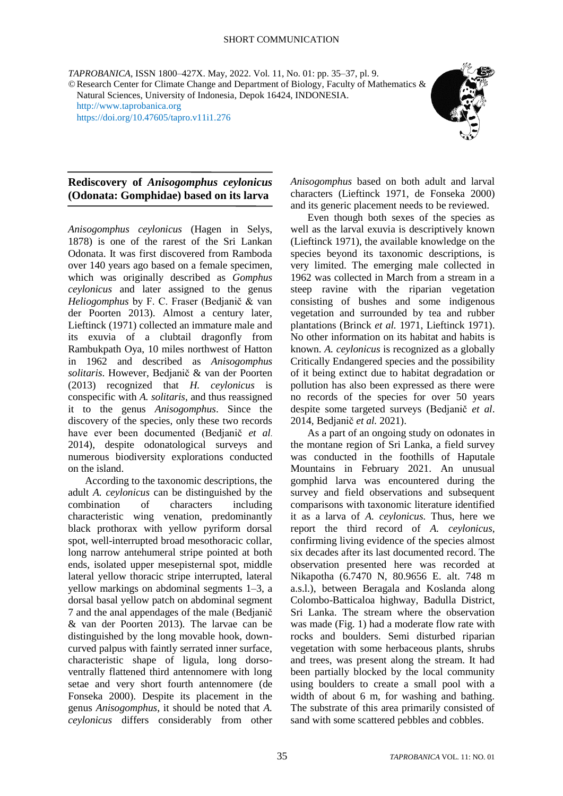*TAPROBANICA*, ISSN 1800–427X. May, 2022. Vol. 11, No. 01: pp. 35–37, pl. 9. ©Research Center for Climate Change and Department of Biology, Faculty of Mathematics & Natural Sciences, University of Indonesia, Depok 16424, INDONESIA. [http://www.taprobanica.org](http://www.taprobanica.org/)

<https://doi.org/10.47605/tapro.v11i1.276>



## **Rediscovery of** *Anisogomphus ceylonicus* **(Odonata: Gomphidae) based on its larva**

*Anisogomphus ceylonicus* (Hagen in Selys, 1878) is one of the rarest of the Sri Lankan Odonata. It was first discovered from Ramboda over 140 years ago based on a female specimen, which was originally described as *Gomphus ceylonicus* and later assigned to the genus *Heliogomphus* by F. C. Fraser (Bedjanič & van der Poorten 2013). Almost a century later, Lieftinck (1971) collected an immature male and its exuvia of a clubtail dragonfly from Rambukpath Oya, 10 miles northwest of Hatton in 1962 and described as *Anisogomphus solitaris*. However, Bedjanič & van der Poorten (2013) recognized that *H. ceylonicus* is conspecific with *A. solitaris*, and thus reassigned it to the genus *Anisogomphus*. Since the discovery of the species, only these two records have ever been documented (Bedjanič *et al*. 2014), despite odonatological surveys and numerous biodiversity explorations conducted on the island.

According to the taxonomic descriptions, the adult *A. ceylonicus* can be distinguished by the combination of characters including characteristic wing venation, predominantly black prothorax with yellow pyriform dorsal spot, well-interrupted broad mesothoracic collar, long narrow antehumeral stripe pointed at both ends, isolated upper mesepisternal spot, middle lateral yellow thoracic stripe interrupted, lateral yellow markings on abdominal segments 1–3, a dorsal basal yellow patch on abdominal segment 7 and the anal appendages of the male (Bedjanič & van der Poorten 2013). The larvae can be distinguished by the long movable hook, downcurved palpus with faintly serrated inner surface, characteristic shape of ligula, long dorsoventrally flattened third antennomere with long setae and very short fourth antennomere (de Fonseka 2000). Despite its placement in the genus *Anisogomphus*, it should be noted that *A. ceylonicus* differs considerably from other

*Anisogomphus* based on both adult and larval characters (Lieftinck 1971, de Fonseka 2000) and its generic placement needs to be reviewed.

Even though both sexes of the species as well as the larval exuvia is descriptively known (Lieftinck 1971), the available knowledge on the species beyond its taxonomic descriptions, is very limited. The emerging male collected in 1962 was collected in March from a stream in a steep ravine with the riparian vegetation consisting of bushes and some indigenous vegetation and surrounded by tea and rubber plantations (Brinck *et al.* 1971, Lieftinck 1971). No other information on its habitat and habits is known. *A. ceylonicus* is recognized as a globally Critically Endangered species and the possibility of it being extinct due to habitat degradation or pollution has also been expressed as there were no records of the species for over 50 years despite some targeted surveys (Bedjanič *et al*. 2014, Bedjanič *et al.* 2021).

As a part of an ongoing study on odonates in the montane region of Sri Lanka, a field survey was conducted in the foothills of Haputale Mountains in February 2021. An unusual gomphid larva was encountered during the survey and field observations and subsequent comparisons with taxonomic literature identified it as a larva of *A. ceylonicus.* Thus, here we report the third record of *A. ceylonicus*, confirming living evidence of the species almost six decades after its last documented record. The observation presented here was recorded at Nikapotha (6.7470 N, 80.9656 E. alt. 748 m a.s.l.), between Beragala and Koslanda along Colombo-Batticaloa highway, Badulla District, Sri Lanka. The stream where the observation was made (Fig. 1) had a moderate flow rate with rocks and boulders. Semi disturbed riparian vegetation with some herbaceous plants, shrubs and trees, was present along the stream. It had been partially blocked by the local community using boulders to create a small pool with a width of about 6 m, for washing and bathing. The substrate of this area primarily consisted of sand with some scattered pebbles and cobbles.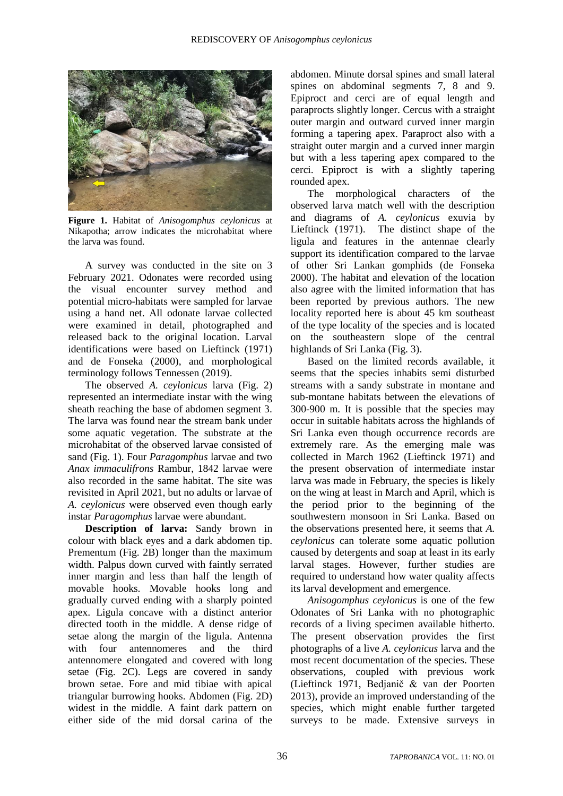

**Figure 1.** Habitat of *Anisogomphus ceylonicus* at Nikapotha; arrow indicates the microhabitat where the larva was found.

A survey was conducted in the site on 3 February 2021. Odonates were recorded using the visual encounter survey method and potential micro-habitats were sampled for larvae using a hand net. All odonate larvae collected were examined in detail, photographed and released back to the original location. Larval identifications were based on Lieftinck (1971) and de Fonseka (2000), and morphological terminology follows Tennessen (2019).

The observed *A. ceylonicus* larva (Fig. 2) represented an intermediate instar with the wing sheath reaching the base of abdomen segment 3. The larva was found near the stream bank under some aquatic vegetation. The substrate at the microhabitat of the observed larvae consisted of sand (Fig. 1). Four *Paragomphus* larvae and two *Anax immaculifrons* Rambur, 1842 larvae were also recorded in the same habitat. The site was revisited in April 2021, but no adults or larvae of *A. ceylonicus* were observed even though early instar *Paragomphus* larvae were abundant.

**Description of larva:** Sandy brown in colour with black eyes and a dark abdomen tip. Prementum (Fig. 2B) longer than the maximum width. Palpus down curved with faintly serrated inner margin and less than half the length of movable hooks. Movable hooks long and gradually curved ending with a sharply pointed apex. Ligula concave with a distinct anterior directed tooth in the middle. A dense ridge of setae along the margin of the ligula. Antenna with four antennomeres and the third antennomere elongated and covered with long setae (Fig. 2C). Legs are covered in sandy brown setae. Fore and mid tibiae with apical triangular burrowing hooks. Abdomen (Fig. 2D) widest in the middle. A faint dark pattern on either side of the mid dorsal carina of the

abdomen. Minute dorsal spines and small lateral spines on abdominal segments 7, 8 and 9. Epiproct and cerci are of equal length and paraprocts slightly longer. Cercus with a straight outer margin and outward curved inner margin forming a tapering apex. Paraproct also with a straight outer margin and a curved inner margin but with a less tapering apex compared to the cerci. Epiproct is with a slightly tapering rounded apex.

The morphological characters of the observed larva match well with the description and diagrams of *A. ceylonicus* exuvia by Lieftinck (1971). The distinct shape of the ligula and features in the antennae clearly support its identification compared to the larvae of other Sri Lankan gomphids (de Fonseka 2000). The habitat and elevation of the location also agree with the limited information that has been reported by previous authors. The new locality reported here is about 45 km southeast of the type locality of the species and is located on the southeastern slope of the central highlands of Sri Lanka (Fig. 3).

Based on the limited records available, it seems that the species inhabits semi disturbed streams with a sandy substrate in montane and sub-montane habitats between the elevations of 300-900 m. It is possible that the species may occur in suitable habitats across the highlands of Sri Lanka even though occurrence records are extremely rare. As the emerging male was collected in March 1962 (Lieftinck 1971) and the present observation of intermediate instar larva was made in February, the species is likely on the wing at least in March and April, which is the period prior to the beginning of the southwestern monsoon in Sri Lanka. Based on the observations presented here, it seems that *A. ceylonicus* can tolerate some aquatic pollution caused by detergents and soap at least in its early larval stages. However, further studies are required to understand how water quality affects its larval development and emergence.

*Anisogomphus ceylonicus* is one of the few Odonates of Sri Lanka with no photographic records of a living specimen available hitherto. The present observation provides the first photographs of a live *A. ceylonicus* larva and the most recent documentation of the species. These observations, coupled with previous work (Lieftinck 1971, Bedjanič & van der Poorten 2013), provide an improved understanding of the species, which might enable further targeted surveys to be made. Extensive surveys in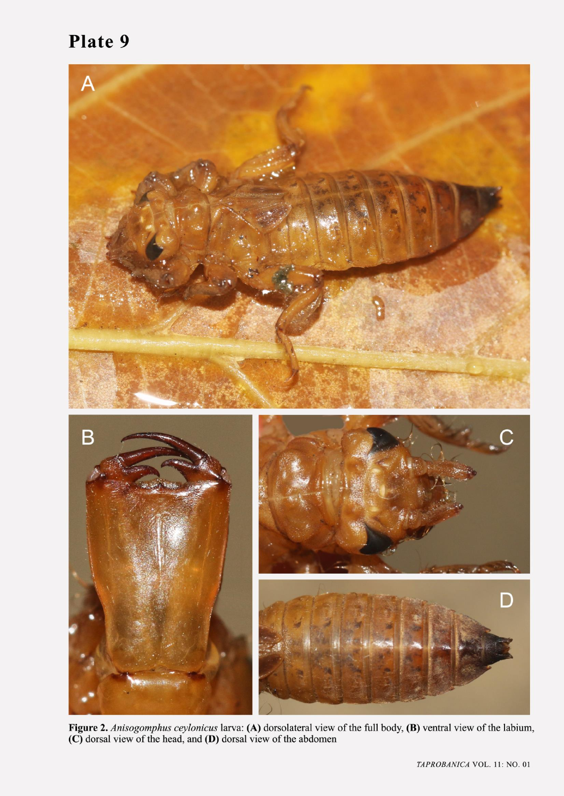## Plate 9



Figure 2. Anisogomphus ceylonicus larva: (A) dorsolateral view of the full body, (B) ventral view of the labium, (C) dorsal view of the head, and (D) dorsal view of the abdomen